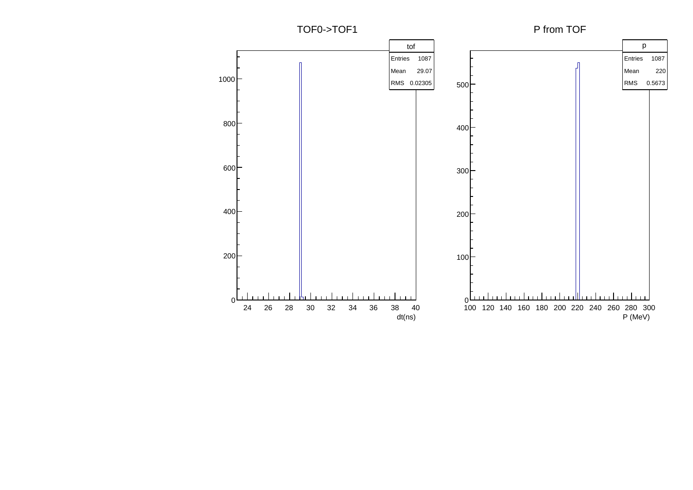

P from TOF

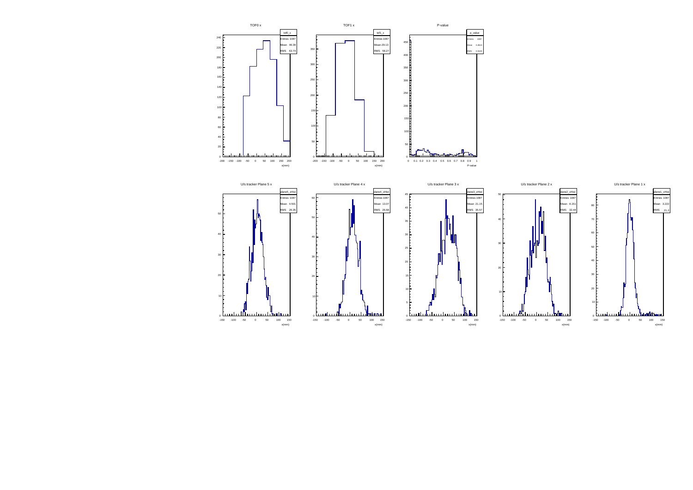

x(mm)

-150 -100 -50 <sup>0</sup> <sup>50</sup> <sup>100</sup> <sup>150</sup>

x(mm)

-150 -100 -50 <sup>0</sup> <sup>50</sup> <sup>100</sup> <sup>150</sup>



x(mm)

-150 -100 -50 <sup>0</sup> <sup>50</sup> <sup>100</sup> <sup>150</sup>

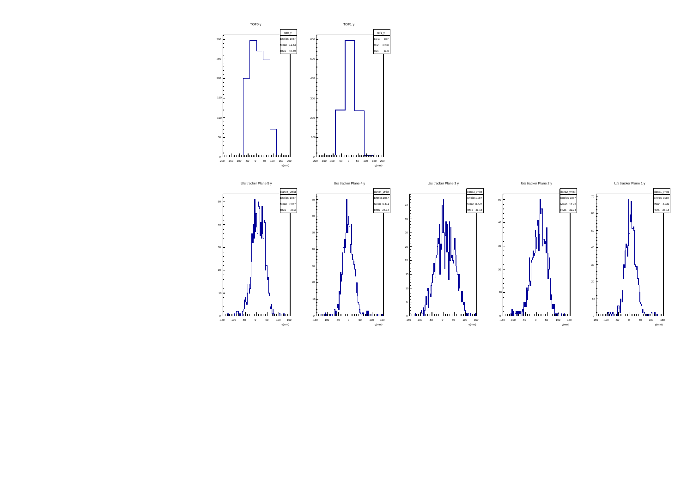









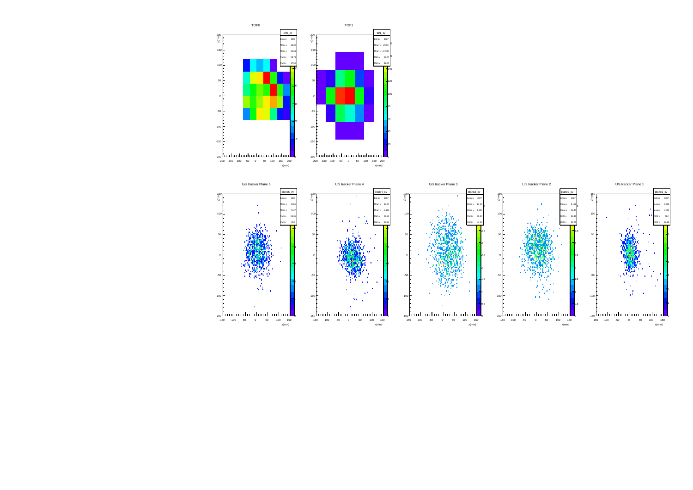









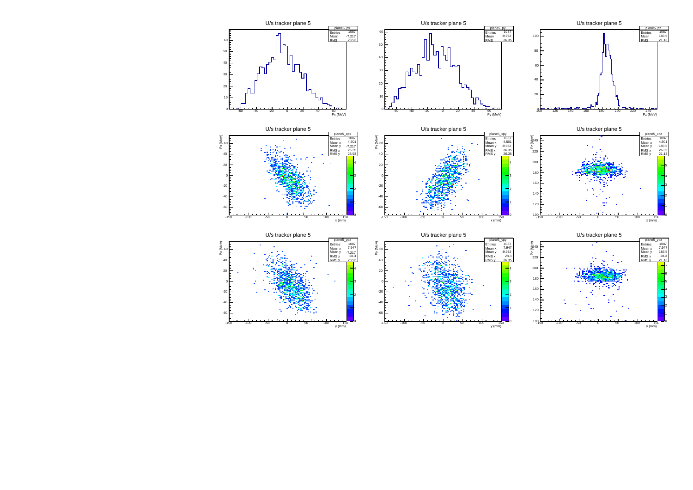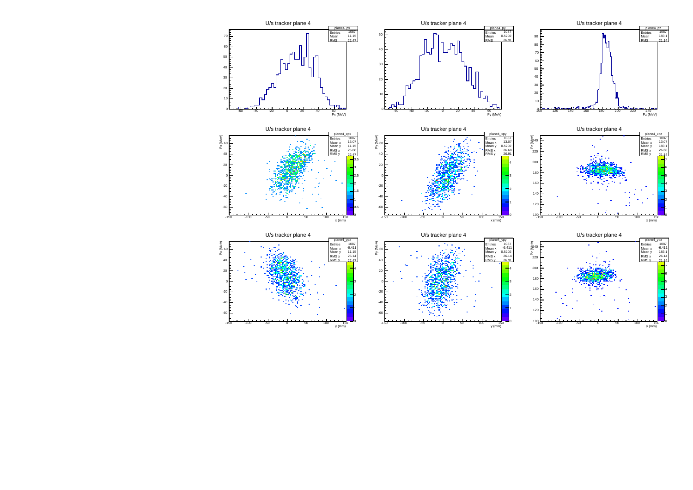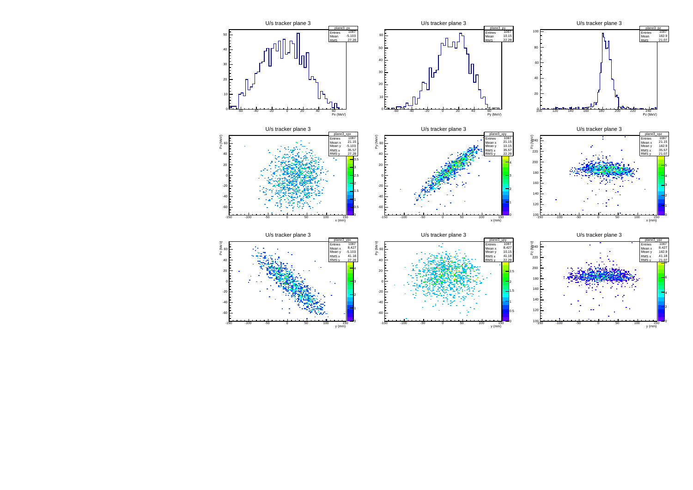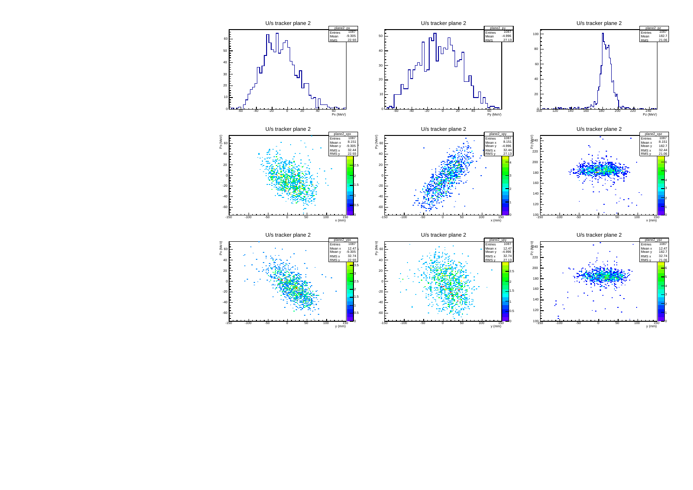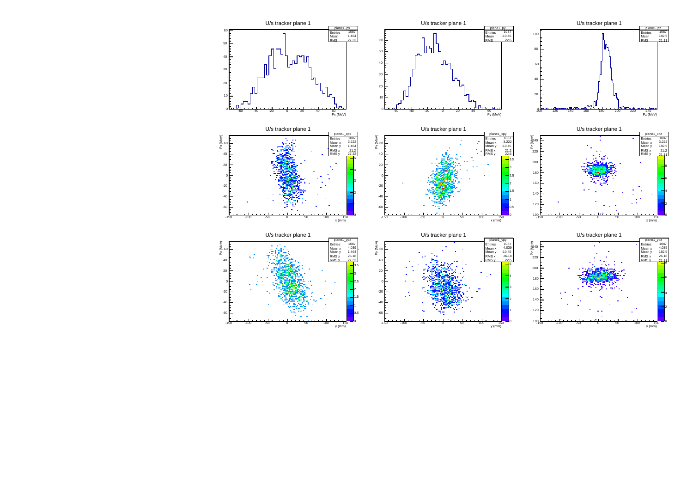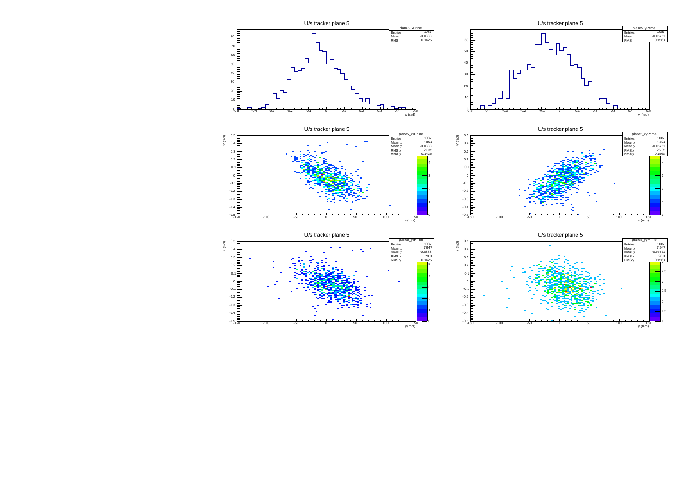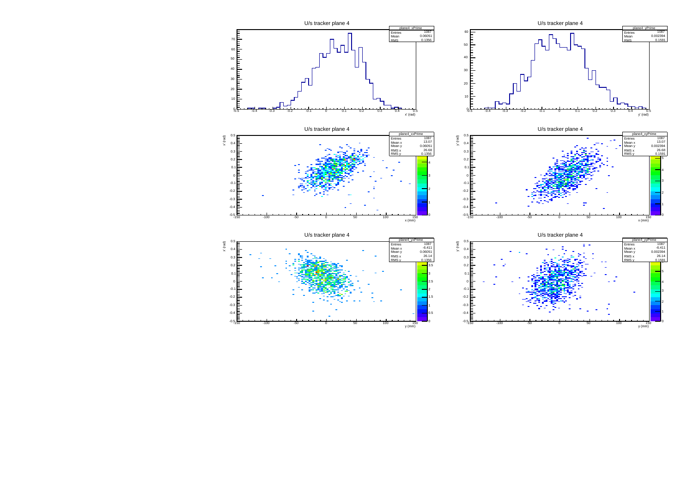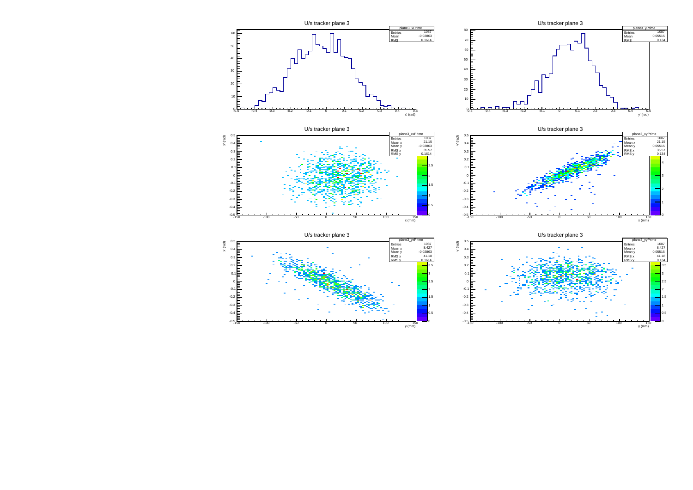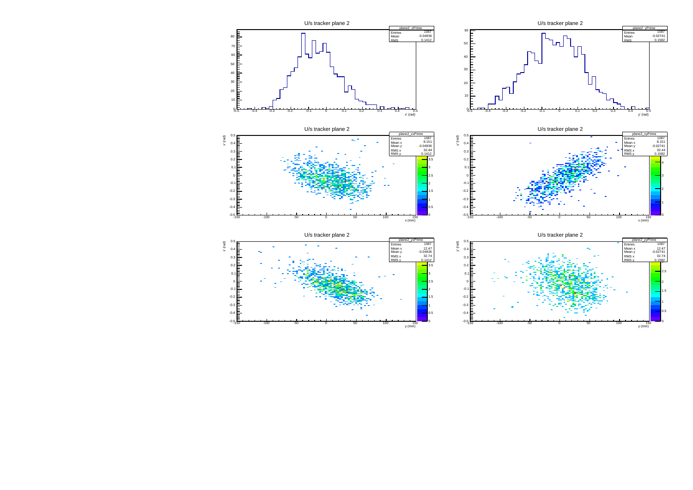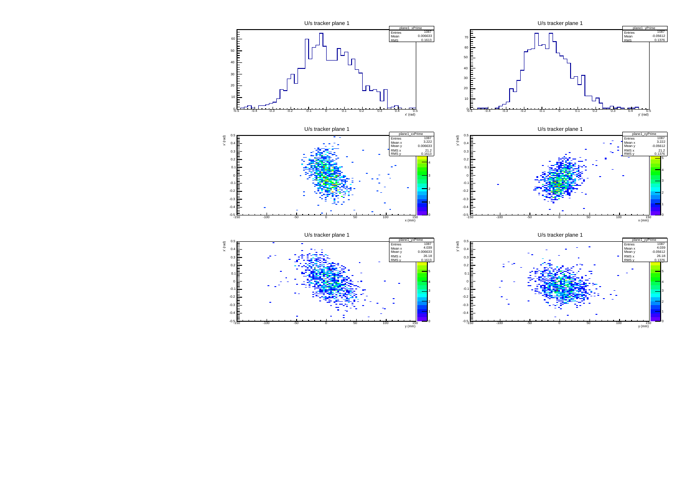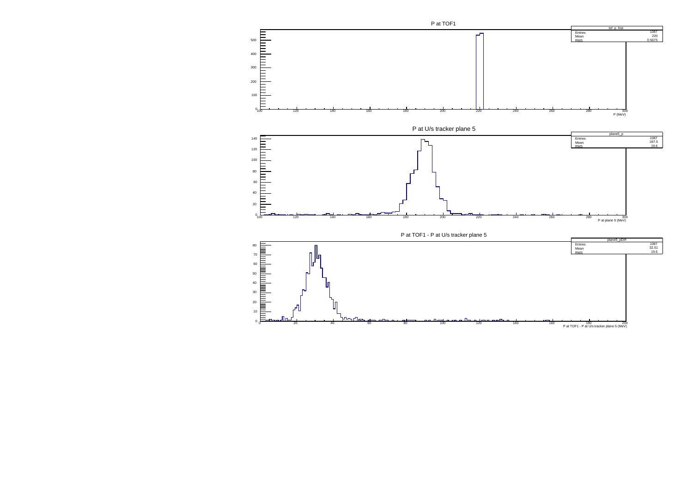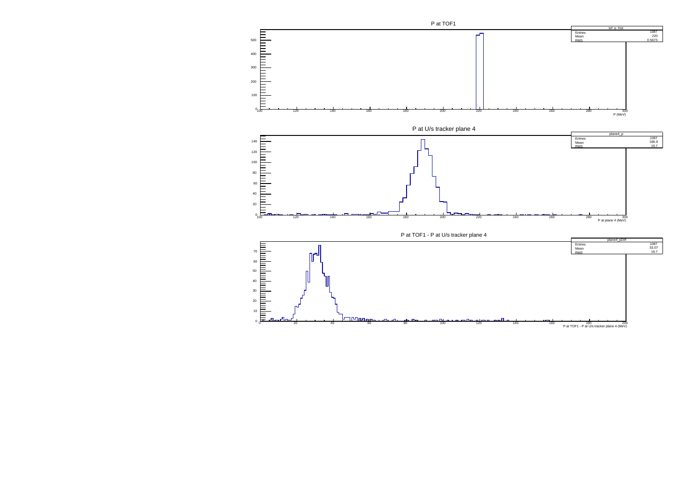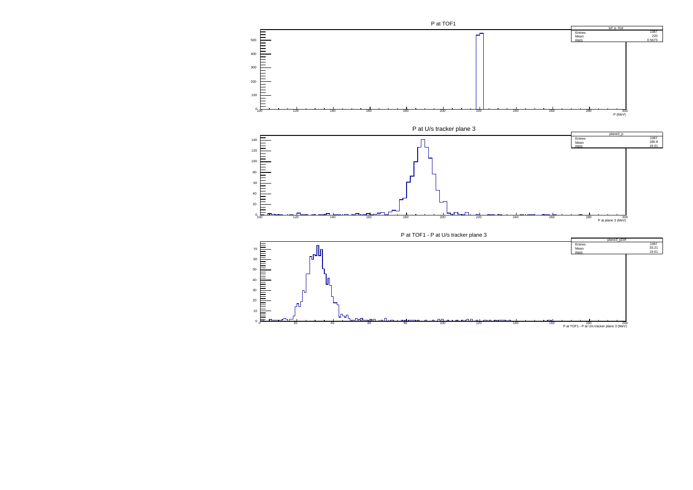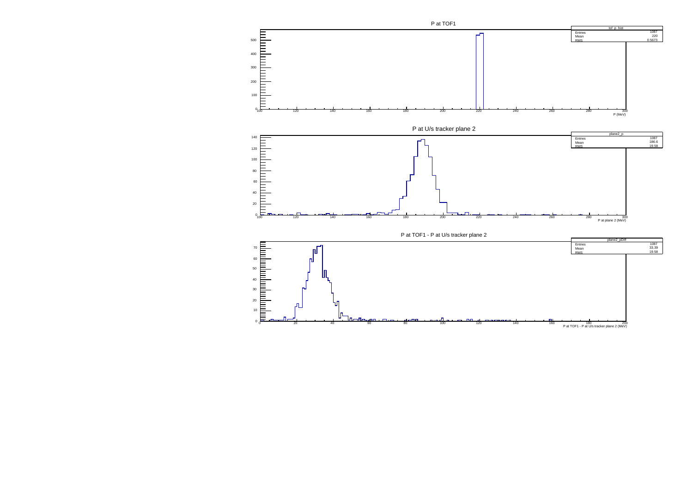